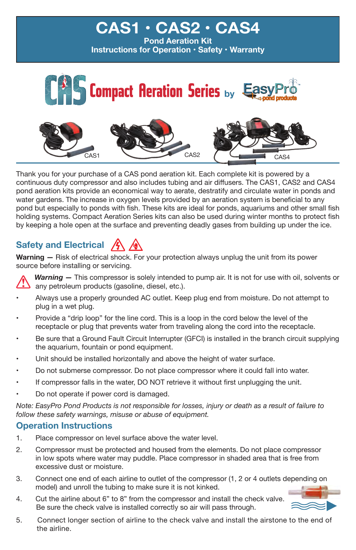

Thank you for your purchase of a CAS pond aeration kit. Each complete kit is powered by a continuous duty compressor and also includes tubing and air diffusers. The CAS1, CAS2 and CAS4 pond aeration kits provide an economical way to aerate, destratify and circulate water in ponds and water gardens. The increase in oxygen levels provided by an aeration system is beneficial to any pond but especially to ponds with fish. These kits are ideal for ponds, aquariums and other small fish holding systems. Compact Aeration Series kits can also be used during winter months to protect fish by keeping a hole open at the surface and preventing deadly gases from building up under the ice.

## **Safety and Electrical**  $\sqrt{4}$

**Warning –** Risk of electrical shock. For your protection always unplug the unit from its power source before installing or servicing.



*Warning —* This compressor is solely intended to pump air. It is not for use with oil, solvents or any petroleum products (gasoline, diesel, etc.).

- Always use a properly grounded AC outlet. Keep plug end from moisture. Do not attempt to plug in a wet plug.
- Provide a "drip loop" for the line cord. This is a loop in the cord below the level of the receptacle or plug that prevents water from traveling along the cord into the receptacle.
- Be sure that a Ground Fault Circuit Interrupter (GFCI) is installed in the branch circuit supplying the aquarium, fountain or pond equipment.
- Unit should be installed horizontally and above the height of water surface.
- •Do not submerse compressor. Do not place compressor where it could fall into water.
- If compressor falls in the water, DO NOT retrieve it without first unplugging the unit.
- •Do not operate if power cord is damaged.

*Note: EasyPro Pond Products is not responsible for losses, injury or death as a result of failure to follow these safety warnings, misuse or abuse of equipment.* 

#### **Operation Instructions**

- 1. Place compressor on level surface above the water level.
- 2. Compressor must be protected and housed from the elements. Do not place compressor in low spots where water may puddle. Place compressor in shaded area that is free from excessive dust or moisture.
- 3. Connect one end of each airline to outlet of the compressor (1, 2 or 4 outlets depending on model) and unroll the tubing to make sure it is not kinked.
- 4. Cut the airline about 6" to 8" from the compressor and install the check valve. Be sure the check valve is installed correctly so air will pass through.



5. Connect longer section of airline to the check valve and install the airstone to the end of the airline.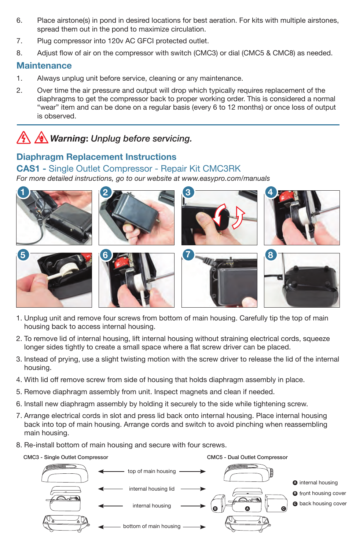- 6. Place airstone(s) in pond in desired locations for best aeration. For kits with multiple airstones, spread them out in the pond to maximize circulation.
- 7. Plug compressor into 120v AC GFCI protected outlet.
- 8. Adjust flow of air on the compressor with switch (CMC3) or dial (CMC5 & CMC8) as needed.

### **Maintenance**

- 1. Always unplug unit before service, cleaning or any maintenance.
- 2. Over time the air pressure and output will drop which typically requires replacement of the diaphragms to get the compressor back to proper working order. This is considered a normal "wear" item and can be done on a regular basis (every 6 to 12 months) or once loss of output is observed.

# *Warning***:** *Unplug before servicing.*

## **Diaphragm Replacement Instructions**

#### **CAS1 -** Single Outlet Compressor - Repair Kit CMC3RK

*For more detailed instructions, go to our website at www.easypro.com/manuals*



- 1. Unplug unit and remove four screws from bottom of main housing. Carefully tip the top of main housing back to access internal housing.
- 2. To remove lid of internal housing, lift internal housing without straining electrical cords, squeeze longer sides tightly to create a small space where a flat screw driver can be placed.
- 3. Instead of prying, use a slight twisting motion with the screw driver to release the lid of the internal housing.
- 4. With lid off remove screw from side of housing that holds diaphragm assembly in place.
- 5. Remove diaphragm assembly from unit. Inspect magnets and clean if needed.
- 6. Install new diaphragm assembly by holding it securely to the side while tightening screw.
- 7. Arrange electrical cords in slot and press lid back onto internal housing. Place internal housing back into top of main housing. Arrange cords and switch to avoid pinching when reassembling main housing.
- 8. Re-install bottom of main housing and secure with four screws.

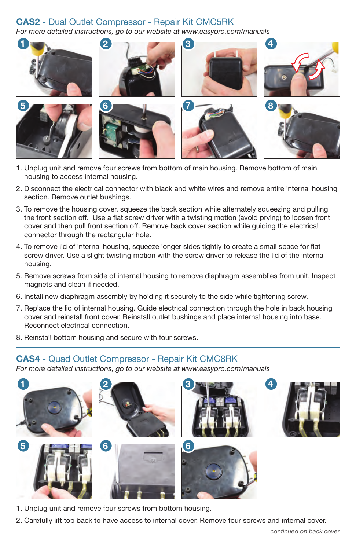### **CAS2 -** Dual Outlet Compressor - Repair Kit CMC5RK

*For more detailed instructions, go to our website at www.easypro.com/manuals*



- 1. Unplug unit and remove four screws from bottom of main housing. Remove bottom of main housing to access internal housing.
- 2. Disconnect the electrical connector with black and white wires and remove entire internal housing section. Remove outlet bushings.
- 3. To remove the housing cover, squeeze the back section while alternately squeezing and pulling the front section off. Use a flat screw driver with a twisting motion (avoid prying) to loosen front cover and then pull front section off. Remove back cover section while guiding the electrical connector through the rectangular hole.
- 4. To remove lid of internal housing, squeeze longer sides tightly to create a small space for flat screw driver. Use a slight twisting motion with the screw driver to release the lid of the internal housing.
- 5. Remove screws from side of internal housing to remove diaphragm assemblies from unit. Inspect magnets and clean if needed.
- 6. Install new diaphragm assembly by holding it securely to the side while tightening screw.
- 7. Replace the lid of internal housing. Guide electrical connection through the hole in back housing cover and reinstall front cover. Reinstall outlet bushings and place internal housing into base. Reconnect electrical connection.
- 8. Reinstall bottom housing and secure with four screws.

#### **CAS4 -** Quad Outlet Compressor - Repair Kit CMC8RK

*For more detailed instructions, go to our website at www.easypro.com/manuals*













- 1. Unplug unit and remove four screws from bottom housing.
- 2. Carefully lift top back to have access to internal cover. Remove four screws and internal cover.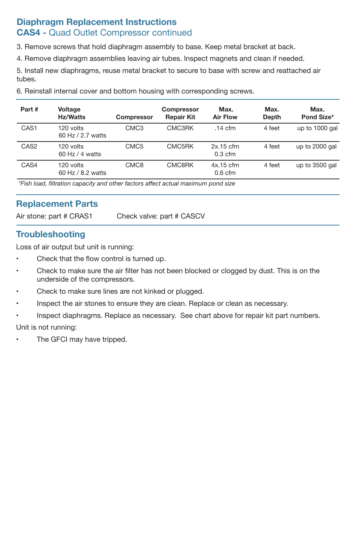### **Diaphragm Replacement Instructions CAS4 -** Quad Outlet Compressor continued

3. Remove screws that hold diaphragm assembly to base. Keep metal bracket at back.

4. Remove diaphragm assemblies leaving air tubes. Inspect magnets and clean if needed.

5. Install new diaphragms, reuse metal bracket to secure to base with screw and reattached air tubes.

6. Reinstall internal cover and bottom housing with corresponding screws.

| Part#            | Voltage<br><b>Hz/Watts</b>       | <b>Compressor</b> | Compressor<br><b>Repair Kit</b> | Max.<br><b>Air Flow</b>  | Max.<br>Depth | Max.<br>Pond Size* |
|------------------|----------------------------------|-------------------|---------------------------------|--------------------------|---------------|--------------------|
| CAS <sub>1</sub> | 120 volts<br>60 Hz / 2.7 watts   | CMC <sub>3</sub>  | CMC3RK                          | $.14 \text{ cfm}$        | 4 feet        | up to 1000 gal     |
| CAS <sub>2</sub> | 120 volts<br>$60$ Hz $/$ 4 watts | CMC <sub>5</sub>  | CMC5RK                          | $2x.15$ cfm<br>$0.3$ cfm | 4 feet        | up to 2000 gal     |
| CAS4             | 120 volts<br>60 Hz / 8.2 watts   | CMC <sub>8</sub>  | CMC8RK                          | $4x.15$ cfm<br>$0.6$ cfm | 4 feet        | up to 3500 gal     |

 *\*Fish load, filtration capacity and other factors affect actual maximum pond size*

#### **Replacement Parts**

Air stone: part # CRAS1 Check valve: part # CASCV

### **Troubleshooting**

Loss of air output but unit is running:

- Check that the flow control is turned up.
- Check to make sure the air filter has not been blocked or clogged by dust. This is on the underside of the compressors.
- Check to make sure lines are not kinked or plugged.
- Inspect the air stones to ensure they are clean. Replace or clean as necessary.
- Inspect diaphragms. Replace as necessary. See chart above for repair kit part numbers. Unit is not running:
- •The GFCI may have tripped.